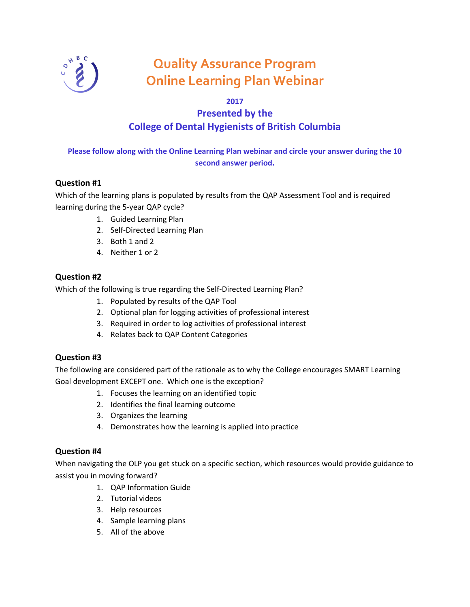

# **Quality Assurance Program Online Learning Plan Webinar**

### **2017**

# **Presented by the College of Dental Hygienists of British Columbia**

## **Please follow along with the Online Learning Plan webinar and circle your answer during the 10 second answer period.**

#### **Question #1**

Which of the learning plans is populated by results from the QAP Assessment Tool and is required learning during the 5-year QAP cycle?

- 1. Guided Learning Plan
- 2. Self-Directed Learning Plan
- 3. Both 1 and 2
- 4. Neither 1 or 2

#### **Question #2**

Which of the following is true regarding the Self-Directed Learning Plan?

- 1. Populated by results of the QAP Tool
- 2. Optional plan for logging activities of professional interest
- 3. Required in order to log activities of professional interest
- 4. Relates back to QAP Content Categories

#### **Question #3**

The following are considered part of the rationale as to why the College encourages SMART Learning Goal development EXCEPT one. Which one is the exception?

- 1. Focuses the learning on an identified topic
- 2. Identifies the final learning outcome
- 3. Organizes the learning
- 4. Demonstrates how the learning is applied into practice

#### **Question #4**

When navigating the OLP you get stuck on a specific section, which resources would provide guidance to assist you in moving forward?

- 1. QAP Information Guide
- 2. Tutorial videos
- 3. Help resources
- 4. Sample learning plans
- 5. All of the above